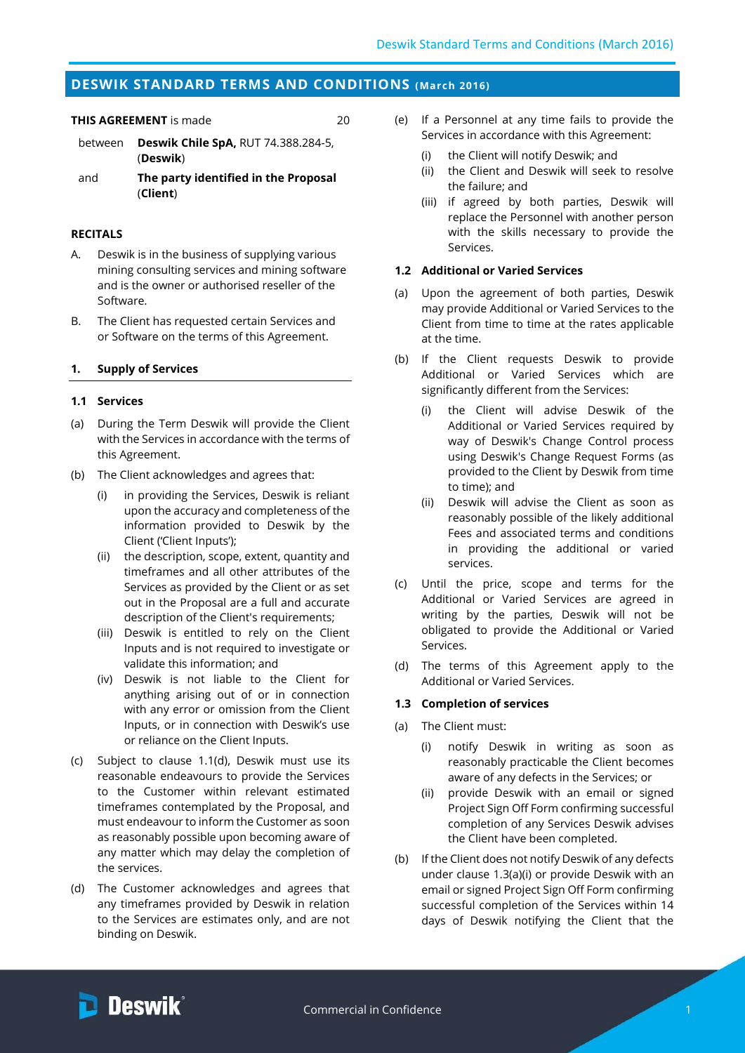# **DESWIK STANDARD TERMS AND CONDITIONS (March 2016)**

**THIS AGREEMENT** is made 20

- between **Deswik Chile SpA,** RUT 74.388.284-5, (**Deswik**)
- and **The party identified in the Proposal**  (**Client**)

### **RECITALS**

- A. Deswik is in the business of supplying various mining consulting services and mining software and is the owner or authorised reseller of the Software.
- B. The Client has requested certain Services and or Software on the terms of this Agreement.

### **1. Supply of Services**

### **1.1 Services**

- (a) During the Term Deswik will provide the Client with the Services in accordance with the terms of this Agreement.
- (b) The Client acknowledges and agrees that:
	- in providing the Services, Deswik is reliant upon the accuracy and completeness of the information provided to Deswik by the Client ('Client Inputs');
	- (ii) the description, scope, extent, quantity and timeframes and all other attributes of the Services as provided by the Client or as set out in the Proposal are a full and accurate description of the Client's requirements;
	- (iii) Deswik is entitled to rely on the Client Inputs and is not required to investigate or validate this information; and
	- (iv) Deswik is not liable to the Client for anything arising out of or in connection with any error or omission from the Client Inputs, or in connection with Deswik's use or reliance on the Client Inputs.
- (c) Subject to clause [1.1\(d\),](#page-0-0) Deswik must use its reasonable endeavours to provide the Services to the Customer within relevant estimated timeframes contemplated by the Proposal, and must endeavour to inform the Customer as soon as reasonably possible upon becoming aware of any matter which may delay the completion of the services.
- <span id="page-0-0"></span>(d) The Customer acknowledges and agrees that any timeframes provided by Deswik in relation to the Services are estimates only, and are not binding on Deswik.
- (e) If a Personnel at any time fails to provide the Services in accordance with this Agreement:
	- (i) the Client will notify Deswik; and
	- (ii) the Client and Deswik will seek to resolve the failure; and
	- (iii) if agreed by both parties, Deswik will replace the Personnel with another person with the skills necessary to provide the Services.

## **1.2 Additional or Varied Services**

- (a) Upon the agreement of both parties, Deswik may provide Additional or Varied Services to the Client from time to time at the rates applicable at the time.
- (b) If the Client requests Deswik to provide Additional or Varied Services which are significantly different from the Services:
	- (i) the Client will advise Deswik of the Additional or Varied Services required by way of Deswik's Change Control process using Deswik's Change Request Forms (as provided to the Client by Deswik from time to time); and
	- (ii) Deswik will advise the Client as soon as reasonably possible of the likely additional Fees and associated terms and conditions in providing the additional or varied services.
- (c) Until the price, scope and terms for the Additional or Varied Services are agreed in writing by the parties, Deswik will not be obligated to provide the Additional or Varied Services.
- (d) The terms of this Agreement apply to the Additional or Varied Services.

### **1.3 Completion of services**

- <span id="page-0-1"></span>(a) The Client must:
	- (i) notify Deswik in writing as soon as reasonably practicable the Client becomes aware of any defects in the Services; or
	- (ii) provide Deswik with an email or signed Project Sign Off Form confirming successful completion of any Services Deswik advises the Client have been completed.
- (b) If the Client does not notify Deswik of any defects under clause [1.3\(a\)\(i\)](#page-0-1) or provide Deswik with an email or signed Project Sign Off Form confirming successful completion of the Services within 14 days of Deswik notifying the Client that the

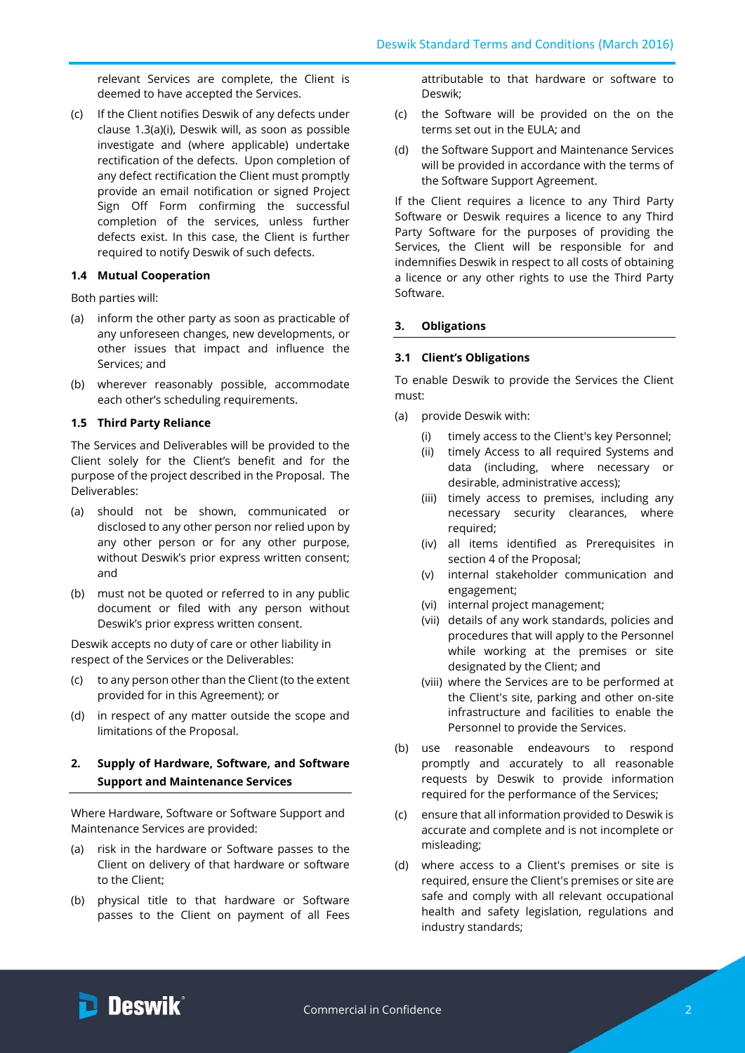relevant Services are complete, the Client is deemed to have accepted the Services.

(c) If the Client notifies Deswik of any defects under clause [1.3\(a\)\(i\),](#page-0-1) Deswik will, as soon as possible investigate and (where applicable) undertake rectification of the defects. Upon completion of any defect rectification the Client must promptly provide an email notification or signed Project Sign Off Form confirming the successful completion of the services, unless further defects exist. In this case, the Client is further required to notify Deswik of such defects.

# **1.4 Mutual Cooperation**

Both parties will:

- (a) inform the other party as soon as practicable of any unforeseen changes, new developments, or other issues that impact and influence the Services; and
- (b) wherever reasonably possible, accommodate each other's scheduling requirements.

## **1.5 Third Party Reliance**

The Services and Deliverables will be provided to the Client solely for the Client's benefit and for the purpose of the project described in the Proposal. The Deliverables:

- (a) should not be shown, communicated or disclosed to any other person nor relied upon by any other person or for any other purpose, without Deswik's prior express written consent; and
- (b) must not be quoted or referred to in any public document or filed with any person without Deswik's prior express written consent.

Deswik accepts no duty of care or other liability in respect of the Services or the Deliverables:

- (c) to any person other than the Client (to the extent provided for in this Agreement); or
- (d) in respect of any matter outside the scope and limitations of the Proposal.

# **2. Supply of Hardware, Software, and Software Support and Maintenance Services**

Where Hardware, Software or Software Support and Maintenance Services are provided:

- (a) risk in the hardware or Software passes to the Client on delivery of that hardware or software to the Client;
- (b) physical title to that hardware or Software passes to the Client on payment of all Fees

attributable to that hardware or software to Deswik;

- (c) the Software will be provided on the on the terms set out in the EULA; and
- (d) the Software Support and Maintenance Services will be provided in accordance with the terms of the Software Support Agreement.

If the Client requires a licence to any Third Party Software or Deswik requires a licence to any Third Party Software for the purposes of providing the Services, the Client will be responsible for and indemnifies Deswik in respect to all costs of obtaining a licence or any other rights to use the Third Party Software.

# **3. Obligations**

# <span id="page-1-0"></span>**3.1 Client's Obligations**

To enable Deswik to provide the Services the Client must:

- (a) provide Deswik with:
	- (i) timely access to the Client's key Personnel;
	- (ii) timely Access to all required Systems and data (including, where necessary or desirable, administrative access);
	- (iii) timely access to premises, including any necessary security clearances, where required;
	- (iv) all items identified as Prerequisites in section 4 of the Proposal;
	- (v) internal stakeholder communication and engagement;
	- (vi) internal project management;
	- (vii) details of any work standards, policies and procedures that will apply to the Personnel while working at the premises or site designated by the Client; and
	- (viii) where the Services are to be performed at the Client's site, parking and other on-site infrastructure and facilities to enable the Personnel to provide the Services.
- (b) use reasonable endeavours to respond promptly and accurately to all reasonable requests by Deswik to provide information required for the performance of the Services;
- (c) ensure that all information provided to Deswik is accurate and complete and is not incomplete or misleading;
- (d) where access to a Client's premises or site is required, ensure the Client's premises or site are safe and comply with all relevant occupational health and safety legislation, regulations and industry standards;

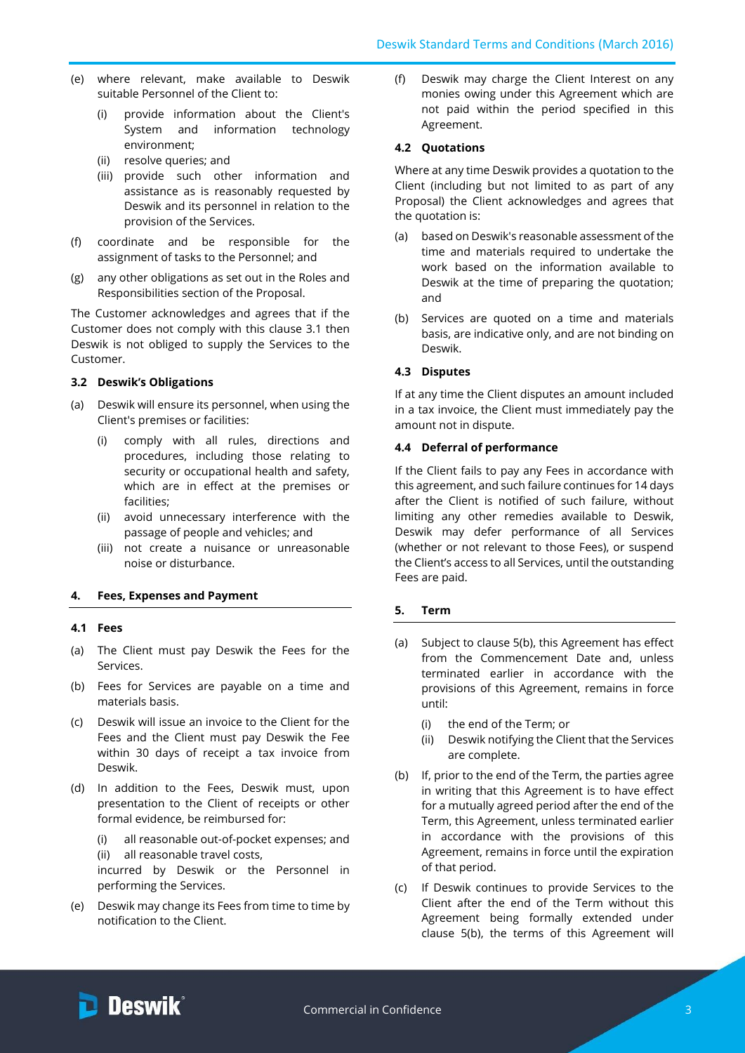- (e) where relevant, make available to Deswik suitable Personnel of the Client to:
	- (i) provide information about the Client's System and information technology environment;
	- (ii) resolve queries; and
	- (iii) provide such other information and assistance as is reasonably requested by Deswik and its personnel in relation to the provision of the Services.
- (f) coordinate and be responsible for the assignment of tasks to the Personnel; and
- (g) any other obligations as set out in the Roles and Responsibilities section of the Proposal.

The Customer acknowledges and agrees that if the Customer does not comply with this clause [3.1](#page-1-0) then Deswik is not obliged to supply the Services to the Customer.

## **3.2 Deswik's Obligations**

- (a) Deswik will ensure its personnel, when using the Client's premises or facilities:
	- (i) comply with all rules, directions and procedures, including those relating to security or occupational health and safety, which are in effect at the premises or facilities;
	- (ii) avoid unnecessary interference with the passage of people and vehicles; and
	- (iii) not create a nuisance or unreasonable noise or disturbance.

### **4. Fees, Expenses and Payment**

### **4.1 Fees**

- (a) The Client must pay Deswik the Fees for the Services.
- (b) Fees for Services are payable on a time and materials basis.
- (c) Deswik will issue an invoice to the Client for the Fees and the Client must pay Deswik the Fee within 30 days of receipt a tax invoice from Deswik.
- (d) In addition to the Fees, Deswik must, upon presentation to the Client of receipts or other formal evidence, be reimbursed for:
	- (i) all reasonable out-of-pocket expenses; and (ii) all reasonable travel costs,

incurred by Deswik or the Personnel in performing the Services.

(e) Deswik may change its Fees from time to time by notification to the Client.

(f) Deswik may charge the Client Interest on any monies owing under this Agreement which are not paid within the period specified in this Agreement.

## **4.2 Quotations**

Where at any time Deswik provides a quotation to the Client (including but not limited to as part of any Proposal) the Client acknowledges and agrees that the quotation is:

- (a) based on Deswik's reasonable assessment of the time and materials required to undertake the work based on the information available to Deswik at the time of preparing the quotation; and
- (b) Services are quoted on a time and materials basis, are indicative only, and are not binding on Deswik.

### **4.3 Disputes**

If at any time the Client disputes an amount included in a tax invoice, the Client must immediately pay the amount not in dispute.

### **4.4 Deferral of performance**

If the Client fails to pay any Fees in accordance with this agreement, and such failure continues for 14 days after the Client is notified of such failure, without limiting any other remedies available to Deswik, Deswik may defer performance of all Services (whether or not relevant to those Fees), or suspend the Client's access to all Services, until the outstanding Fees are paid.

### **5. Term**

- (a) Subject to clause [5\(b\),](#page-2-0) this Agreement has effect from the Commencement Date and, unless terminated earlier in accordance with the provisions of this Agreement, remains in force until:
	- (i) the end of the Term; or
	- (ii) Deswik notifying the Client that the Services are complete.
- <span id="page-2-0"></span>(b) If, prior to the end of the Term, the parties agree in writing that this Agreement is to have effect for a mutually agreed period after the end of the Term, this Agreement, unless terminated earlier in accordance with the provisions of this Agreement, remains in force until the expiration of that period.
- <span id="page-2-1"></span>(c) If Deswik continues to provide Services to the Client after the end of the Term without this Agreement being formally extended under clause [5\(b\),](#page-2-0) the terms of this Agreement will

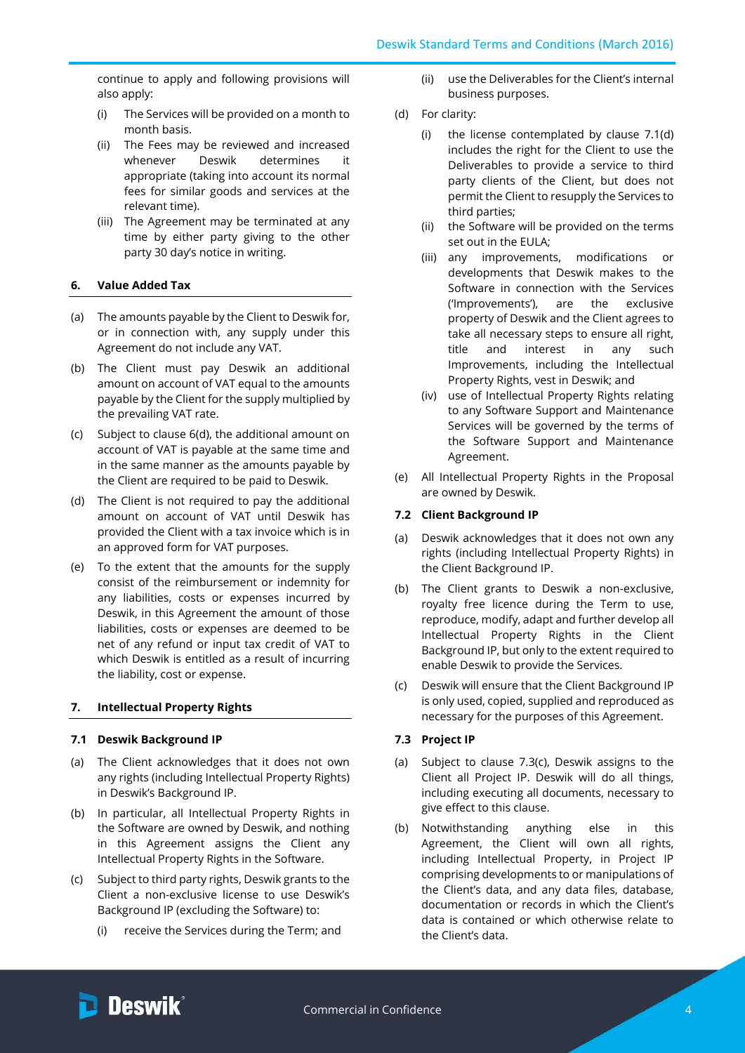continue to apply and following provisions will also apply:

- (i) The Services will be provided on a month to month basis.
- (ii) The Fees may be reviewed and increased whenever Deswik determines it appropriate (taking into account its normal fees for similar goods and services at the relevant time).
- (iii) The Agreement may be terminated at any time by either party giving to the other party 30 day's notice in writing.

## **6. Value Added Tax**

- (a) The amounts payable by the Client to Deswik for, or in connection with, any supply under this Agreement do not include any VAT.
- (b) The Client must pay Deswik an additional amount on account of VAT equal to the amounts payable by the Client for the supply multiplied by the prevailing VAT rate.
- (c) Subject to clause 6(d), the additional amount on account of VAT is payable at the same time and in the same manner as the amounts payable by the Client are required to be paid to Deswik.
- (d) The Client is not required to pay the additional amount on account of VAT until Deswik has provided the Client with a tax invoice which is in an approved form for VAT purposes.
- (e) To the extent that the amounts for the supply consist of the reimbursement or indemnity for any liabilities, costs or expenses incurred by Deswik, in this Agreement the amount of those liabilities, costs or expenses are deemed to be net of any refund or input tax credit of VAT to which Deswik is entitled as a result of incurring the liability, cost or expense.

## **7. Intellectual Property Rights**

## **7.1 Deswik Background IP**

- (a) The Client acknowledges that it does not own any rights (including Intellectual Property Rights) in Deswik's Background IP.
- (b) In particular, all Intellectual Property Rights in the Software are owned by Deswik, and nothing in this Agreement assigns the Client any Intellectual Property Rights in the Software.
- (c) Subject to third party rights, Deswik grants to the Client a non-exclusive license to use Deswik's Background IP (excluding the Software) to:
	- (i) receive the Services during the Term; and
- (ii) use the Deliverables for the Client's internal business purposes.
- (d) For clarity:
	- (i) the license contemplated by clause 7.1(d) includes the right for the Client to use the Deliverables to provide a service to third party clients of the Client, but does not permit the Client to resupply the Services to third parties;
	- (ii) the Software will be provided on the terms set out in the EULA;
	- (iii) any improvements, modifications or developments that Deswik makes to the Software in connection with the Services ('Improvements'), are the exclusive property of Deswik and the Client agrees to take all necessary steps to ensure all right, title and interest in any such Improvements, including the Intellectual Property Rights, vest in Deswik; and
	- (iv) use of Intellectual Property Rights relating to any Software Support and Maintenance Services will be governed by the terms of the Software Support and Maintenance Agreement.
- (e) All Intellectual Property Rights in the Proposal are owned by Deswik.

### **7.2 Client Background IP**

- (a) Deswik acknowledges that it does not own any rights (including Intellectual Property Rights) in the Client Background IP.
- (b) The Client grants to Deswik a non-exclusive, royalty free licence during the Term to use, reproduce, modify, adapt and further develop all Intellectual Property Rights in the Client Background IP, but only to the extent required to enable Deswik to provide the Services.
- (c) Deswik will ensure that the Client Background IP is only used, copied, supplied and reproduced as necessary for the purposes of this Agreement.

### **7.3 Project IP**

- (a) Subject to clause 7.3(c), Deswik assigns to the Client all Project IP. Deswik will do all things, including executing all documents, necessary to give effect to this clause.
- (b) Notwithstanding anything else in this Agreement, the Client will own all rights, including Intellectual Property, in Project IP comprising developments to or manipulations of the Client's data, and any data files, database, documentation or records in which the Client's data is contained or which otherwise relate to the Client's data.

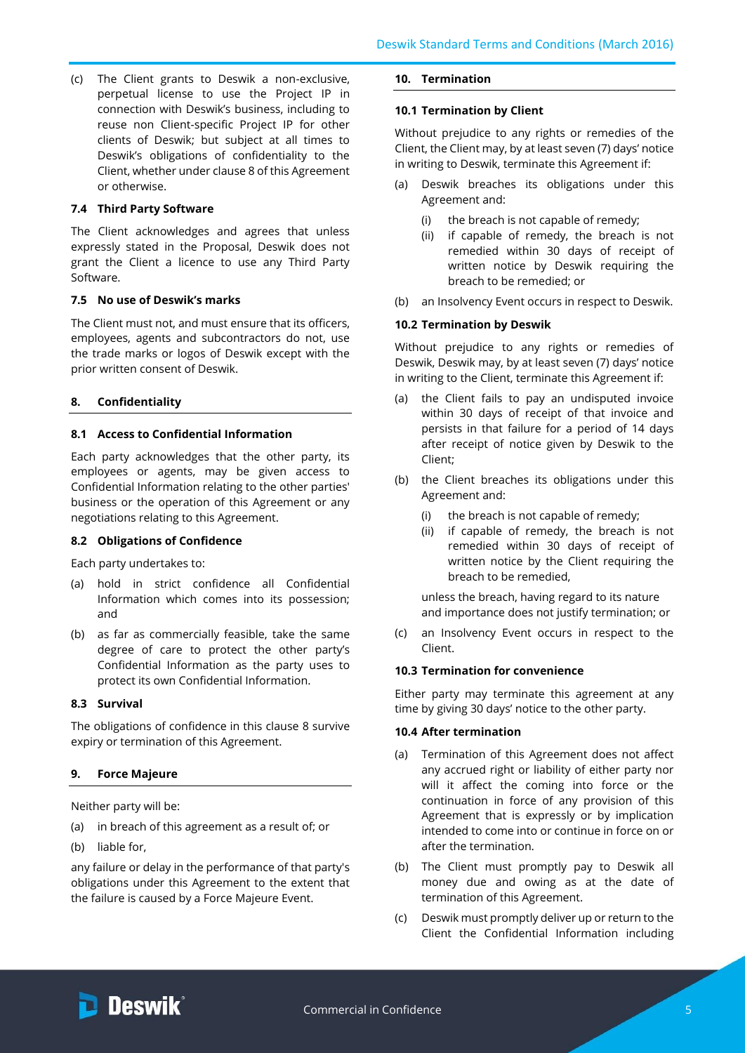(c) The Client grants to Deswik a non-exclusive, perpetual license to use the Project IP in connection with Deswik's business, including to reuse non Client-specific Project IP for other clients of Deswik; but subject at all times to Deswik's obligations of confidentiality to the Client, whether under clause 8 of this Agreement or otherwise.

## **7.4 Third Party Software**

The Client acknowledges and agrees that unless expressly stated in the Proposal, Deswik does not grant the Client a licence to use any Third Party Software.

## **7.5 No use of Deswik's marks**

The Client must not, and must ensure that its officers, employees, agents and subcontractors do not, use the trade marks or logos of Deswik except with the prior written consent of Deswik.

# <span id="page-4-0"></span>**8. Confidentiality**

## **8.1 Access to Confidential Information**

Each party acknowledges that the other party, its employees or agents, may be given access to Confidential Information relating to the other parties' business or the operation of this Agreement or any negotiations relating to this Agreement.

## **8.2 Obligations of Confidence**

Each party undertakes to:

- (a) hold in strict confidence all Confidential Information which comes into its possession; and
- (b) as far as commercially feasible, take the same degree of care to protect the other party's Confidential Information as the party uses to protect its own Confidential Information.

## **8.3 Survival**

The obligations of confidence in this clause [8](#page-4-0) survive expiry or termination of this Agreement.

# **9. Force Majeure**

Neither party will be:

- (a) in breach of this agreement as a result of; or
- (b) liable for,

any failure or delay in the performance of that party's obligations under this Agreement to the extent that the failure is caused by a Force Majeure Event.

## **10. Termination**

### **10.1 Termination by Client**

Without prejudice to any rights or remedies of the Client, the Client may, by at least seven (7) days' notice in writing to Deswik, terminate this Agreement if:

- (a) Deswik breaches its obligations under this Agreement and:
	- (i) the breach is not capable of remedy;
	- (ii) if capable of remedy, the breach is not remedied within 30 days of receipt of written notice by Deswik requiring the breach to be remedied; or
- (b) an Insolvency Event occurs in respect to Deswik.

## **10.2 Termination by Deswik**

Without prejudice to any rights or remedies of Deswik, Deswik may, by at least seven (7) days' notice in writing to the Client, terminate this Agreement if:

- (a) the Client fails to pay an undisputed invoice within 30 days of receipt of that invoice and persists in that failure for a period of 14 days after receipt of notice given by Deswik to the Client;
- (b) the Client breaches its obligations under this Agreement and:
	- (i) the breach is not capable of remedy;
	- (ii) if capable of remedy, the breach is not remedied within 30 days of receipt of written notice by the Client requiring the breach to be remedied,

unless the breach, having regard to its nature and importance does not justify termination; or

(c) an Insolvency Event occurs in respect to the Client.

## **10.3 Termination for convenience**

Either party may terminate this agreement at any time by giving 30 days' notice to the other party.

## **10.4 After termination**

- (a) Termination of this Agreement does not affect any accrued right or liability of either party nor will it affect the coming into force or the continuation in force of any provision of this Agreement that is expressly or by implication intended to come into or continue in force on or after the termination.
- (b) The Client must promptly pay to Deswik all money due and owing as at the date of termination of this Agreement.
- (c) Deswik must promptly deliver up or return to the Client the Confidential Information including

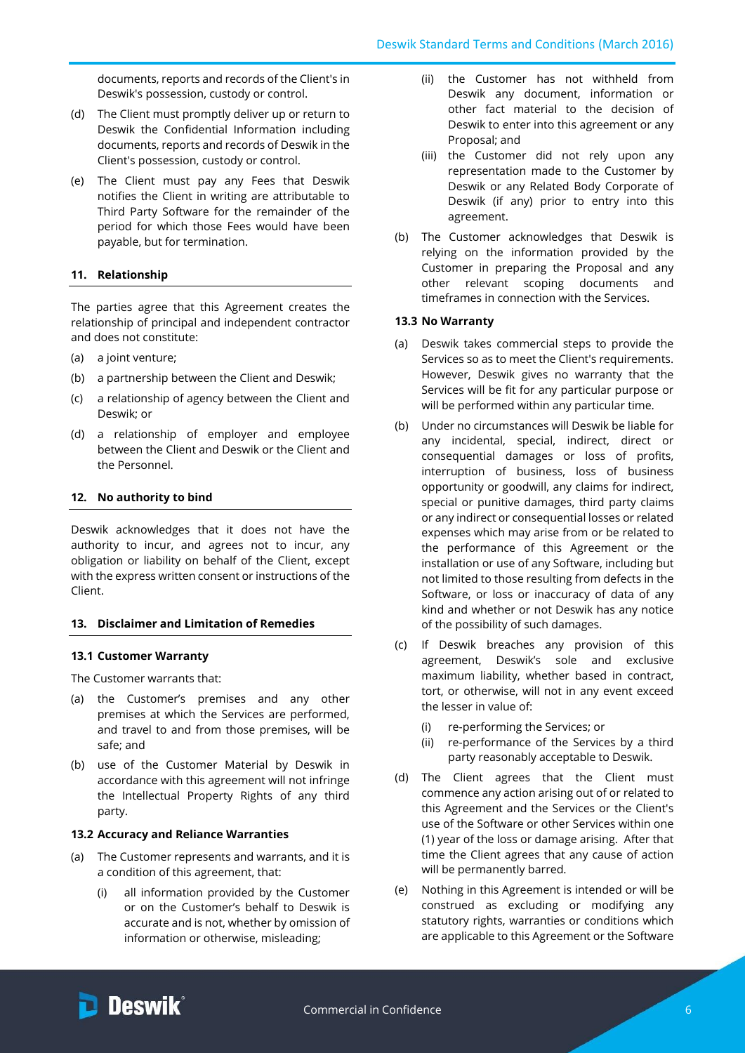documents, reports and records of the Client's in Deswik's possession, custody or control.

- (d) The Client must promptly deliver up or return to Deswik the Confidential Information including documents, reports and records of Deswik in the Client's possession, custody or control.
- (e) The Client must pay any Fees that Deswik notifies the Client in writing are attributable to Third Party Software for the remainder of the period for which those Fees would have been payable, but for termination.

# **11. Relationship**

The parties agree that this Agreement creates the relationship of principal and independent contractor and does not constitute:

- (a) a joint venture;
- (b) a partnership between the Client and Deswik;
- (c) a relationship of agency between the Client and Deswik; or
- (d) a relationship of employer and employee between the Client and Deswik or the Client and the Personnel.

# **12. No authority to bind**

Deswik acknowledges that it does not have the authority to incur, and agrees not to incur, any obligation or liability on behalf of the Client, except with the express written consent or instructions of the Client.

# **13. Disclaimer and Limitation of Remedies**

## **13.1 Customer Warranty**

The Customer warrants that:

- (a) the Customer's premises and any other premises at which the Services are performed, and travel to and from those premises, will be safe; and
- (b) use of the Customer Material by Deswik in accordance with this agreement will not infringe the Intellectual Property Rights of any third party.

## **13.2 Accuracy and Reliance Warranties**

- (a) The Customer represents and warrants, and it is a condition of this agreement, that:
	- (i) all information provided by the Customer or on the Customer's behalf to Deswik is accurate and is not, whether by omission of information or otherwise, misleading;
- (ii) the Customer has not withheld from Deswik any document, information or other fact material to the decision of Deswik to enter into this agreement or any Proposal; and
- (iii) the Customer did not rely upon any representation made to the Customer by Deswik or any Related Body Corporate of Deswik (if any) prior to entry into this agreement.
- (b) The Customer acknowledges that Deswik is relying on the information provided by the Customer in preparing the Proposal and any other relevant scoping documents and timeframes in connection with the Services.

# **13.3 No Warranty**

- (a) Deswik takes commercial steps to provide the Services so as to meet the Client's requirements. However, Deswik gives no warranty that the Services will be fit for any particular purpose or will be performed within any particular time.
- (b) Under no circumstances will Deswik be liable for any incidental, special, indirect, direct or consequential damages or loss of profits, interruption of business, loss of business opportunity or goodwill, any claims for indirect, special or punitive damages, third party claims or any indirect or consequential losses or related expenses which may arise from or be related to the performance of this Agreement or the installation or use of any Software, including but not limited to those resulting from defects in the Software, or loss or inaccuracy of data of any kind and whether or not Deswik has any notice of the possibility of such damages.
- (c) If Deswik breaches any provision of this agreement, Deswik's sole and exclusive maximum liability, whether based in contract, tort, or otherwise, will not in any event exceed the lesser in value of:
	- (i) re-performing the Services; or
	- (ii) re-performance of the Services by a third party reasonably acceptable to Deswik.
- (d) The Client agrees that the Client must commence any action arising out of or related to this Agreement and the Services or the Client's use of the Software or other Services within one (1) year of the loss or damage arising. After that time the Client agrees that any cause of action will be permanently barred.
- (e) Nothing in this Agreement is intended or will be construed as excluding or modifying any statutory rights, warranties or conditions which are applicable to this Agreement or the Software

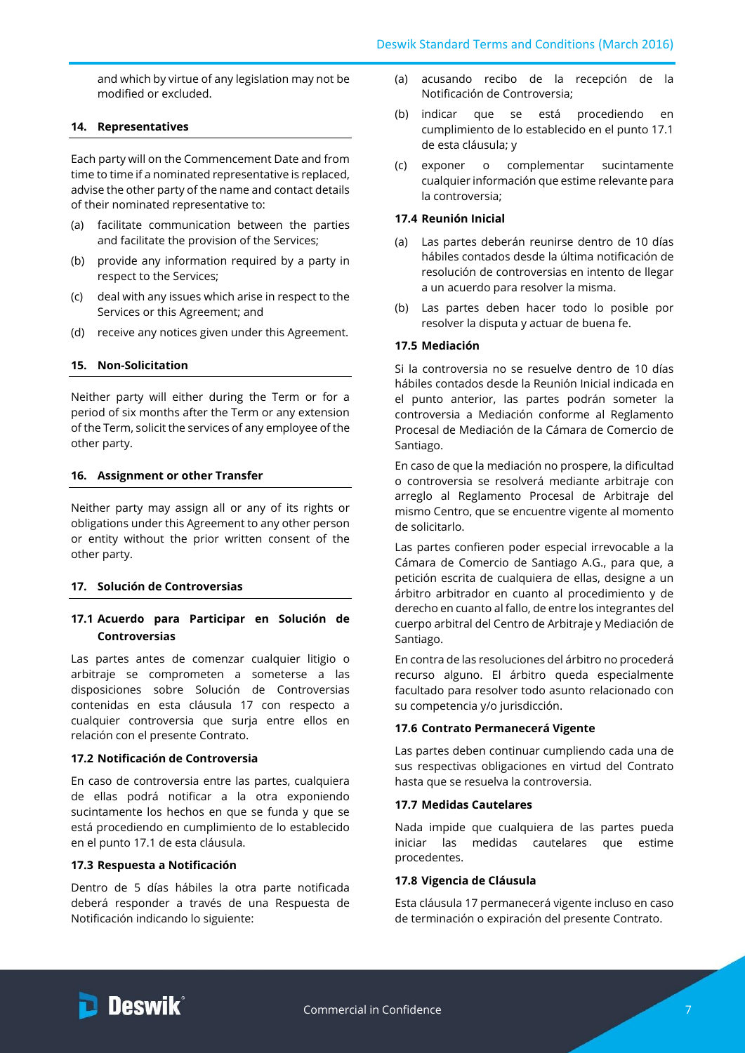and which by virtue of any legislation may not be modified or excluded.

## **14. Representatives**

Each party will on the Commencement Date and from time to time if a nominated representative is replaced, advise the other party of the name and contact details of their nominated representative to:

- (a) facilitate communication between the parties and facilitate the provision of the Services;
- (b) provide any information required by a party in respect to the Services;
- (c) deal with any issues which arise in respect to the Services or this Agreement; and
- (d) receive any notices given under this Agreement.

## **15. Non-Solicitation**

Neither party will either during the Term or for a period of six months after the Term or any extension of the Term, solicit the services of any employee of the other party.

### **16. Assignment or other Transfer**

Neither party may assign all or any of its rights or obligations under this Agreement to any other person or entity without the prior written consent of the other party.

### <span id="page-6-0"></span>**17. Solución de Controversias**

# **17.1 Acuerdo para Participar en Solución de Controversias**

Las partes antes de comenzar cualquier litigio o arbitraje se comprometen a someterse a las disposiciones sobre Solución de Controversias contenidas en esta cláusula 17 con respecto a cualquier controversia que surja entre ellos en relación con el presente Contrato.

### **17.2 Notificación de Controversia**

En caso de controversia entre las partes, cualquiera de ellas podrá notificar a la otra exponiendo sucintamente los hechos en que se funda y que se está procediendo en cumplimiento de lo establecido en el punto 17.1 de esta cláusula.

### **17.3 Respuesta a Notificación**

Dentro de 5 días hábiles la otra parte notificada deberá responder a través de una Respuesta de Notificación indicando lo siguiente:

- (a) acusando recibo de la recepción de la Notificación de Controversia;
- (b) indicar que se está procediendo en cumplimiento de lo establecido en el punto 17.1 de esta cláusula; y
- (c) exponer o complementar sucintamente cualquier información que estime relevante para la controversia;

## **17.4 Reunión Inicial**

- (a) Las partes deberán reunirse dentro de 10 días hábiles contados desde la última notificación de resolución de controversias en intento de llegar a un acuerdo para resolver la misma.
- (b) Las partes deben hacer todo lo posible por resolver la disputa y actuar de buena fe.

## **17.5 Mediación**

Si la controversia no se resuelve dentro de 10 días hábiles contados desde la Reunión Inicial indicada en el punto anterior, las partes podrán someter la controversia a Mediación conforme al Reglamento Procesal de Mediación de la Cámara de Comercio de Santiago.

En caso de que la mediación no prospere, la dificultad o controversia se resolverá mediante arbitraje con arreglo al Reglamento Procesal de Arbitraje del mismo Centro, que se encuentre vigente al momento de solicitarlo.

Las partes confieren poder especial irrevocable a la Cámara de Comercio de Santiago A.G., para que, a petición escrita de cualquiera de ellas, designe a un árbitro arbitrador en cuanto al procedimiento y de derecho en cuanto al fallo, de entre los integrantes del cuerpo arbitral del Centro de Arbitraje y Mediación de Santiago.

En contra de las resoluciones del árbitro no procederá recurso alguno. El árbitro queda especialmente facultado para resolver todo asunto relacionado con su competencia y/o jurisdicción.

### **17.6 Contrato Permanecerá Vigente**

Las partes deben continuar cumpliendo cada una de sus respectivas obligaciones en virtud del Contrato hasta que se resuelva la controversia.

### **17.7 Medidas Cautelares**

Nada impide que cualquiera de las partes pueda iniciar las medidas cautelares que estime procedentes.

## **17.8 Vigencia de Cláusula**

Esta cláusula 17 permanecerá vigente incluso en caso de terminación o expiración del presente Contrato.

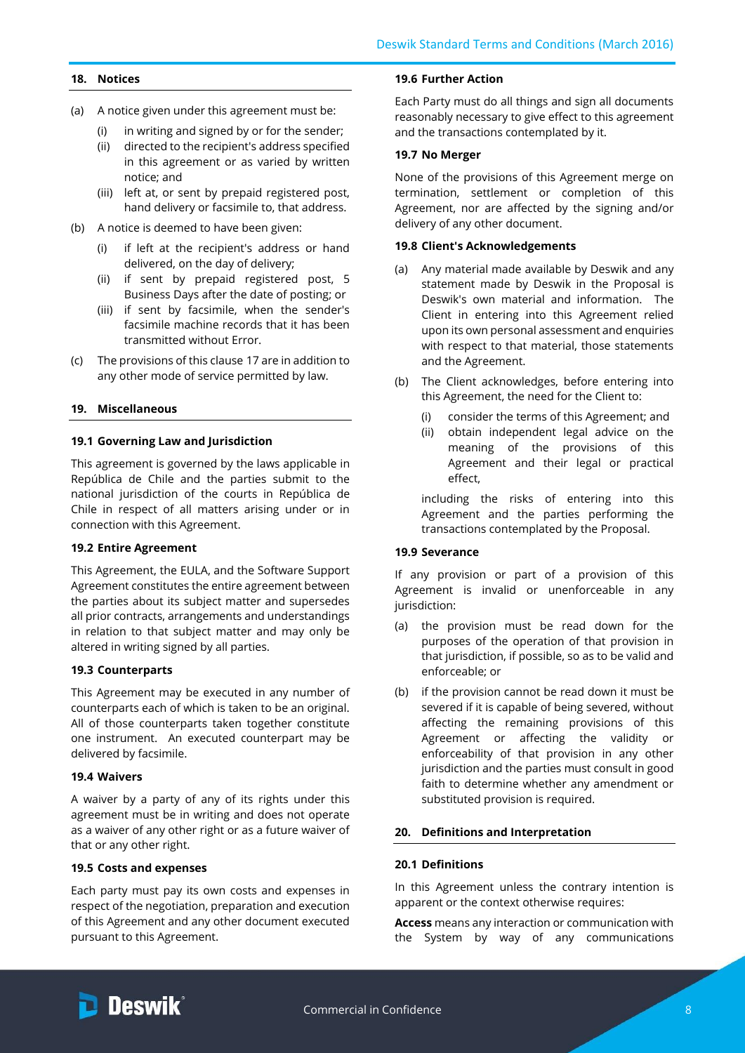## **18. Notices**

- (a) A notice given under this agreement must be:
	- (i) in writing and signed by or for the sender;
	- (ii) directed to the recipient's address specified in this agreement or as varied by written notice; and
	- (iii) left at, or sent by prepaid registered post, hand delivery or facsimile to, that address.
- (b) A notice is deemed to have been given:
	- (i) if left at the recipient's address or hand delivered, on the day of delivery;
	- (ii) if sent by prepaid registered post, 5 Business Days after the date of posting; or
	- (iii) if sent by facsimile, when the sender's facsimile machine records that it has been transmitted without Error.
- (c) The provisions of this clause [17](#page-6-0) are in addition to any other mode of service permitted by law.

# **19. Miscellaneous**

## **19.1 Governing Law and Jurisdiction**

This agreement is governed by the laws applicable in República de Chile and the parties submit to the national jurisdiction of the courts in República de Chile in respect of all matters arising under or in connection with this Agreement.

## **19.2 Entire Agreement**

This Agreement, the EULA, and the Software Support Agreement constitutes the entire agreement between the parties about its subject matter and supersedes all prior contracts, arrangements and understandings in relation to that subject matter and may only be altered in writing signed by all parties.

## **19.3 Counterparts**

This Agreement may be executed in any number of counterparts each of which is taken to be an original. All of those counterparts taken together constitute one instrument. An executed counterpart may be delivered by facsimile.

## **19.4 Waivers**

A waiver by a party of any of its rights under this agreement must be in writing and does not operate as a waiver of any other right or as a future waiver of that or any other right.

## **19.5 Costs and expenses**

Each party must pay its own costs and expenses in respect of the negotiation, preparation and execution of this Agreement and any other document executed pursuant to this Agreement.

## **19.6 Further Action**

Each Party must do all things and sign all documents reasonably necessary to give effect to this agreement and the transactions contemplated by it.

## **19.7 No Merger**

None of the provisions of this Agreement merge on termination, settlement or completion of this Agreement, nor are affected by the signing and/or delivery of any other document.

## **19.8 Client's Acknowledgements**

- (a) Any material made available by Deswik and any statement made by Deswik in the Proposal is Deswik's own material and information. The Client in entering into this Agreement relied upon its own personal assessment and enquiries with respect to that material, those statements and the Agreement.
- (b) The Client acknowledges, before entering into this Agreement, the need for the Client to:
	- (i) consider the terms of this Agreement; and
	- (ii) obtain independent legal advice on the meaning of the provisions of this Agreement and their legal or practical effect,

including the risks of entering into this Agreement and the parties performing the transactions contemplated by the Proposal.

## **19.9 Severance**

If any provision or part of a provision of this Agreement is invalid or unenforceable in any jurisdiction:

- (a) the provision must be read down for the purposes of the operation of that provision in that jurisdiction, if possible, so as to be valid and enforceable; or
- (b) if the provision cannot be read down it must be severed if it is capable of being severed, without affecting the remaining provisions of this Agreement or affecting the validity or enforceability of that provision in any other jurisdiction and the parties must consult in good faith to determine whether any amendment or substituted provision is required.

## **20. Definitions and Interpretation**

## **20.1 Definitions**

In this Agreement unless the contrary intention is apparent or the context otherwise requires:

**Access** means any interaction or communication with the System by way of any communications

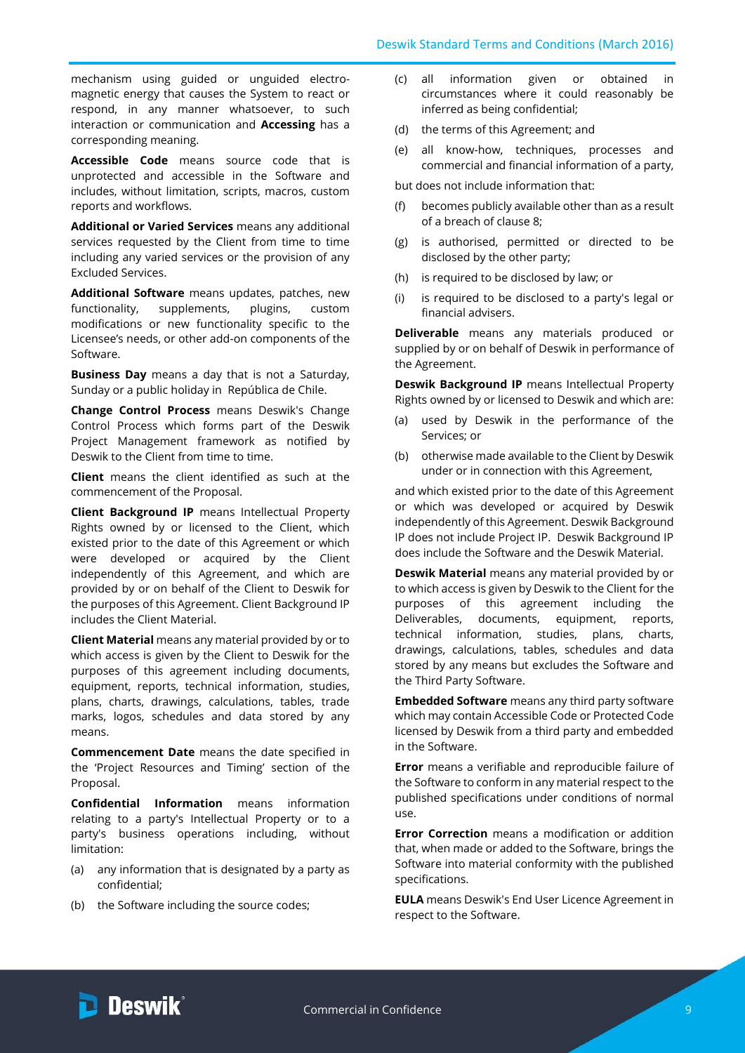mechanism using guided or unguided electromagnetic energy that causes the System to react or respond, in any manner whatsoever, to such interaction or communication and **Accessing** has a corresponding meaning.

**Accessible Code** means source code that is unprotected and accessible in the Software and includes, without limitation, scripts, macros, custom reports and workflows.

**Additional or Varied Services** means any additional services requested by the Client from time to time including any varied services or the provision of any Excluded Services.

**Additional Software** means updates, patches, new functionality, supplements, plugins, custom modifications or new functionality specific to the Licensee's needs, or other add-on components of the Software.

**Business Day** means a day that is not a Saturday, Sunday or a public holiday in República de Chile.

**Change Control Process** means Deswik's Change Control Process which forms part of the Deswik Project Management framework as notified by Deswik to the Client from time to time.

**Client** means the client identified as such at the commencement of the Proposal.

**Client Background IP** means Intellectual Property Rights owned by or licensed to the Client, which existed prior to the date of this Agreement or which were developed or acquired by the Client independently of this Agreement, and which are provided by or on behalf of the Client to Deswik for the purposes of this Agreement. Client Background IP includes the Client Material.

**Client Material** means any material provided by or to which access is given by the Client to Deswik for the purposes of this agreement including documents, equipment, reports, technical information, studies, plans, charts, drawings, calculations, tables, trade marks, logos, schedules and data stored by any means.

**Commencement Date** means the date specified in the 'Project Resources and Timing' section of the Proposal.

**Confidential Information** means information relating to a party's Intellectual Property or to a party's business operations including, without limitation:

- (a) any information that is designated by a party as confidential;
- (b) the Software including the source codes;
- (c) all information given or obtained in circumstances where it could reasonably be inferred as being confidential;
- (d) the terms of this Agreement; and
- (e) all know-how, techniques, processes and commercial and financial information of a party,

but does not include information that:

- (f) becomes publicly available other than as a result of a breach of clause [8;](#page-4-0)
- (g) is authorised, permitted or directed to be disclosed by the other party;
- (h) is required to be disclosed by law; or
- (i) is required to be disclosed to a party's legal or financial advisers.

**Deliverable** means any materials produced or supplied by or on behalf of Deswik in performance of the Agreement.

**Deswik Background IP** means Intellectual Property Rights owned by or licensed to Deswik and which are:

- (a) used by Deswik in the performance of the Services; or
- (b) otherwise made available to the Client by Deswik under or in connection with this Agreement,

and which existed prior to the date of this Agreement or which was developed or acquired by Deswik independently of this Agreement. Deswik Background IP does not include Project IP. Deswik Background IP does include the Software and the Deswik Material.

**Deswik Material** means any material provided by or to which access is given by Deswik to the Client for the purposes of this agreement including the Deliverables, documents, equipment, reports, technical information, studies, plans, charts, drawings, calculations, tables, schedules and data stored by any means but excludes the Software and the Third Party Software.

**Embedded Software** means any third party software which may contain Accessible Code or Protected Code licensed by Deswik from a third party and embedded in the Software.

**Error** means a verifiable and reproducible failure of the Software to conform in any material respect to the published specifications under conditions of normal use.

**Error Correction** means a modification or addition that, when made or added to the Software, brings the Software into material conformity with the published specifications.

**EULA** means Deswik's End User Licence Agreement in respect to the Software.

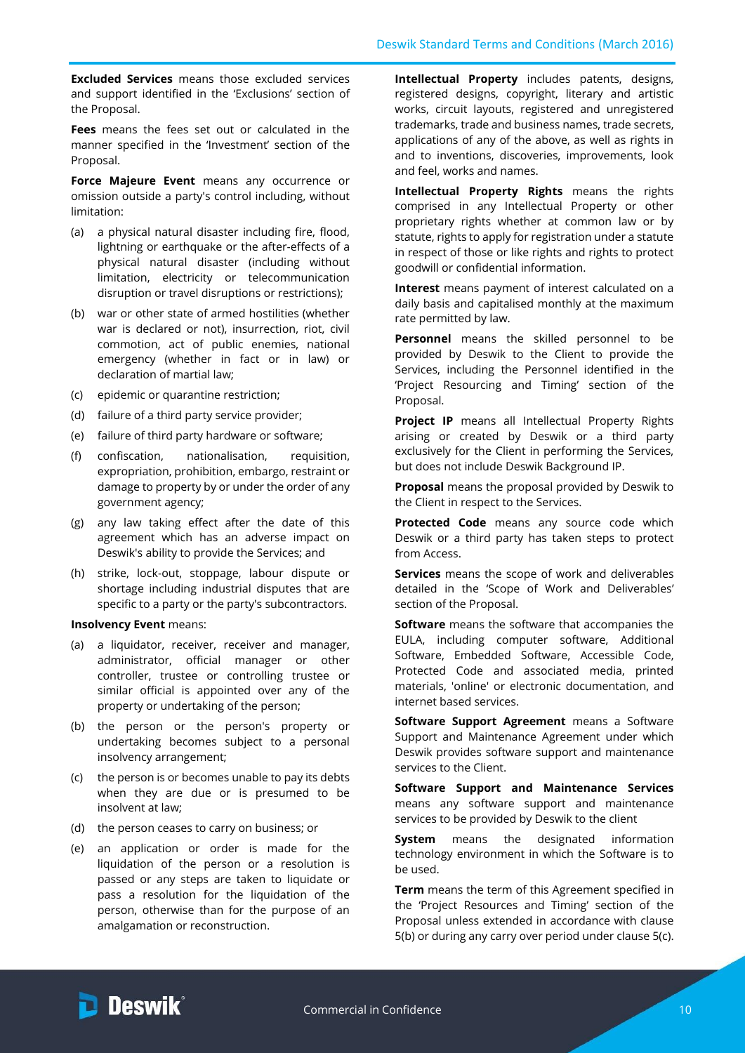**Excluded Services** means those excluded services and support identified in the 'Exclusions' section of the Proposal.

**Fees** means the fees set out or calculated in the manner specified in the 'Investment' section of the Proposal.

**Force Majeure Event** means any occurrence or omission outside a party's control including, without limitation:

- (a) a physical natural disaster including fire, flood, lightning or earthquake or the after-effects of a physical natural disaster (including without limitation, electricity or telecommunication disruption or travel disruptions or restrictions);
- (b) war or other state of armed hostilities (whether war is declared or not), insurrection, riot, civil commotion, act of public enemies, national emergency (whether in fact or in law) or declaration of martial law;
- (c) epidemic or quarantine restriction;
- (d) failure of a third party service provider;
- (e) failure of third party hardware or software;
- (f) confiscation, nationalisation, requisition, expropriation, prohibition, embargo, restraint or damage to property by or under the order of any government agency;
- (g) any law taking effect after the date of this agreement which has an adverse impact on Deswik's ability to provide the Services; and
- (h) strike, lock-out, stoppage, labour dispute or shortage including industrial disputes that are specific to a party or the party's subcontractors.

#### **Insolvency Event** means:

- (a) a liquidator, receiver, receiver and manager, administrator, official manager or other controller, trustee or controlling trustee or similar official is appointed over any of the property or undertaking of the person;
- (b) the person or the person's property or undertaking becomes subject to a personal insolvency arrangement;
- (c) the person is or becomes unable to pay its debts when they are due or is presumed to be insolvent at law;
- (d) the person ceases to carry on business; or
- (e) an application or order is made for the liquidation of the person or a resolution is passed or any steps are taken to liquidate or pass a resolution for the liquidation of the person, otherwise than for the purpose of an amalgamation or reconstruction.

**Intellectual Property** includes patents, designs, registered designs, copyright, literary and artistic works, circuit layouts, registered and unregistered trademarks, trade and business names, trade secrets, applications of any of the above, as well as rights in and to inventions, discoveries, improvements, look and feel, works and names.

**Intellectual Property Rights** means the rights comprised in any Intellectual Property or other proprietary rights whether at common law or by statute, rights to apply for registration under a statute in respect of those or like rights and rights to protect goodwill or confidential information.

**Interest** means payment of interest calculated on a daily basis and capitalised monthly at the maximum rate permitted by law.

**Personnel** means the skilled personnel to be provided by Deswik to the Client to provide the Services, including the Personnel identified in the 'Project Resourcing and Timing' section of the Proposal.

**Project IP** means all Intellectual Property Rights arising or created by Deswik or a third party exclusively for the Client in performing the Services, but does not include Deswik Background IP.

**Proposal** means the proposal provided by Deswik to the Client in respect to the Services.

**Protected Code** means any source code which Deswik or a third party has taken steps to protect from Access.

**Services** means the scope of work and deliverables detailed in the 'Scope of Work and Deliverables' section of the Proposal.

**Software** means the software that accompanies the EULA, including computer software, Additional Software, Embedded Software, Accessible Code, Protected Code and associated media, printed materials, 'online' or electronic documentation, and internet based services.

**Software Support Agreement** means a Software Support and Maintenance Agreement under which Deswik provides software support and maintenance services to the Client.

**Software Support and Maintenance Services** means any software support and maintenance services to be provided by Deswik to the client

**System** means the designated information technology environment in which the Software is to be used.

**Term** means the term of this Agreement specified in the 'Project Resources and Timing' section of the Proposal unless extended in accordance with clause [5\(b\)](#page-2-0) or during any carry over period under claus[e 5\(c\).](#page-2-1)